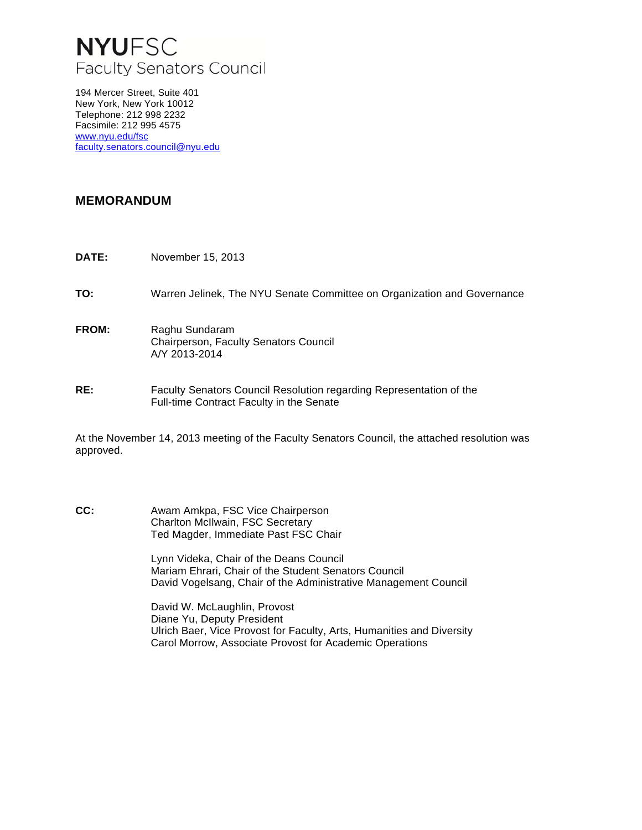## **NYUFSC Faculty Senators Council**

194 Mercer Street, Suite 401 New York, New York 10012 Telephone: 212 998 2232 Facsimile: 212 995 4575 www.nyu.edu/fsc faculty.senators.council@nyu.edu

## **MEMORANDUM**

- **DATE:** November 15, 2013
- **TO:** Warren Jelinek, The NYU Senate Committee on Organization and Governance
- **FROM:** Raghu Sundaram Chairperson, Faculty Senators Council A/Y 2013-2014
- **RE:** Faculty Senators Council Resolution regarding Representation of the Full-time Contract Faculty in the Senate

At the November 14, 2013 meeting of the Faculty Senators Council, the attached resolution was approved.

**CC:** Awam Amkpa, FSC Vice Chairperson Charlton McIlwain, FSC Secretary Ted Magder, Immediate Past FSC Chair

> Lynn Videka, Chair of the Deans Council Mariam Ehrari, Chair of the Student Senators Council David Vogelsang, Chair of the Administrative Management Council

David W. McLaughlin, Provost Diane Yu, Deputy President Ulrich Baer, Vice Provost for Faculty, Arts, Humanities and Diversity Carol Morrow, Associate Provost for Academic Operations